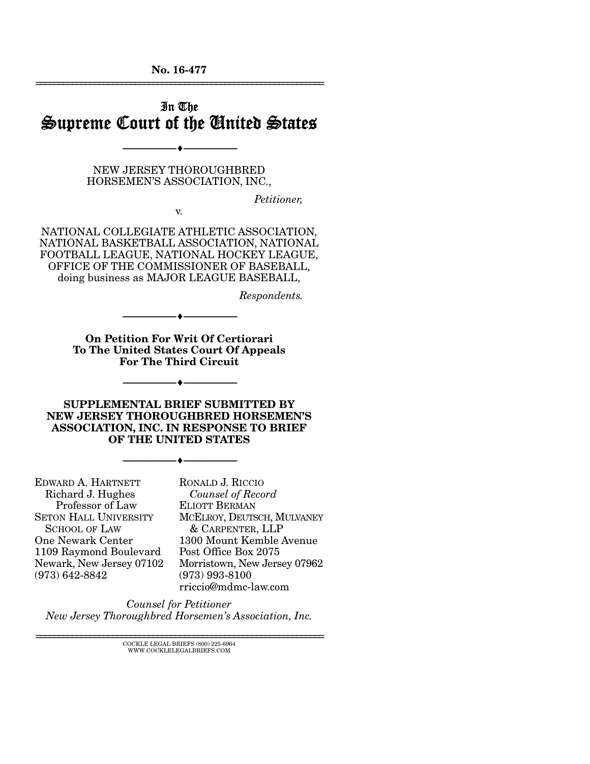No. 16-477 ================================================================

## In The Supreme Court of the United States

NEW JERSEY THOROUGHBRED HORSEMEN'S ASSOCIATION, INC.,

v.

--------------------------------- ---------------------------------

*Petitioner,* 

NATIONAL COLLEGIATE ATHLETIC ASSOCIATION, NATIONAL BASKETBALL ASSOCIATION, NATIONAL FOOTBALL LEAGUE, NATIONAL HOCKEY LEAGUE, OFFICE OF THE COMMISSIONER OF BASEBALL, doing business as MAJOR LEAGUE BASEBALL,

*Respondents.* 

On Petition For Writ Of Certiorari To The United States Court Of Appeals For The Third Circuit

--------------------------------- ---------------------------------

--------------------------------- ---------------------------------

SUPPLEMENTAL BRIEF SUBMITTED BY NEW JERSEY THOROUGHBRED HORSEMEN'S ASSOCIATION, INC. IN RESPONSE TO BRIEF OF THE UNITED STATES

--------------------------------- ---------------------------------

EDWARD A. HARTNETT Richard J. Hughes Professor of Law SETON HALL UNIVERSITY SCHOOL OF LAW One Newark Center 1109 Raymond Boulevard Newark, New Jersey 07102 (973) 642-8842

RONALD J. RICCIO  *Counsel of Record* ELIOTT BERMAN MCELROY, DEUTSCH, MULVANEY & CARPENTER, LLP 1300 Mount Kemble Avenue Post Office Box 2075 Morristown, New Jersey 07962 (973) 993-8100 rriccio@mdmc-law.com

*Counsel for Petitioner New Jersey Thoroughbred Horsemen's Association, Inc.* 

 ${\rm COCKLE\;LEGAL\;BRIES}\; (800)\; 225\text{-}6964 \\ {\text{WWW.COCKLELEGALBRIES}\; \text{COM}}$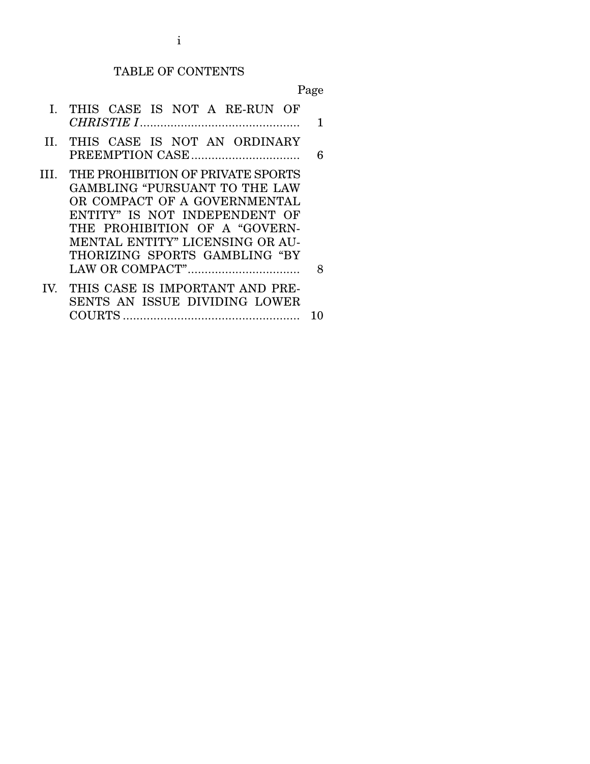#### TABLE OF CONTENTS

Page

- I. THIS CASE IS NOT A RE-RUN OF *CHRISTIE I* ............................................... 1
- II. THIS CASE IS NOT AN ORDINARY PREEMPTION CASE ................................ 6
- III. THE PROHIBITION OF PRIVATE SPORTS GAMBLING "PURSUANT TO THE LAW OR COMPACT OF A GOVERNMENTAL ENTITY" IS NOT INDEPENDENT OF THE PROHIBITION OF A "GOVERN-MENTAL ENTITY" LICENSING OR AU-THORIZING SPORTS GAMBLING "BY LAW OR COMPACT" ................................. 8 IV. THIS CASE IS IMPORTANT AND PRE-
	- SENTS AN ISSUE DIVIDING LOWER COURTS .................................................... 10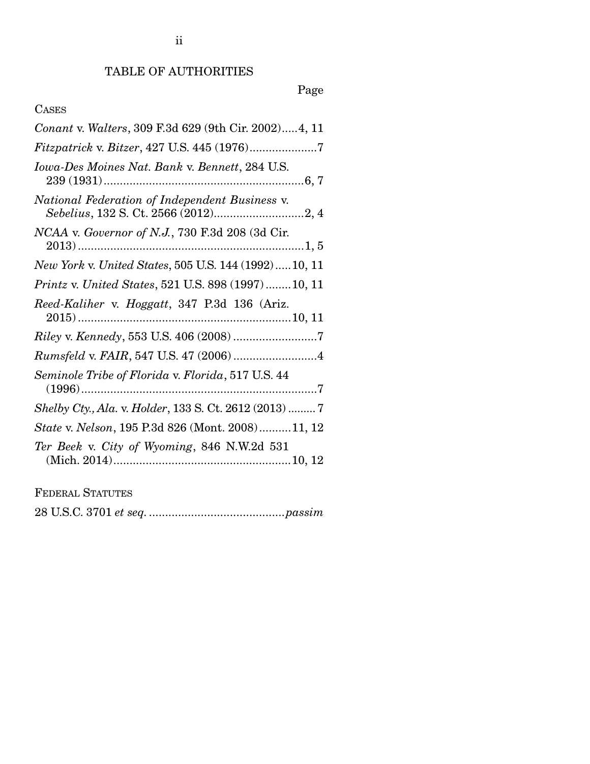# Page

# CASES

| Conant v. Walters, 309 F.3d 629 (9th Cir. 2002)4, 11   |
|--------------------------------------------------------|
| Fitzpatrick v. Bitzer, 427 U.S. 445 (1976)7            |
| Iowa-Des Moines Nat. Bank v. Bennett, 284 U.S.         |
| National Federation of Independent Business v.         |
| NCAA v. Governor of N.J., 730 F.3d 208 (3d Cir.        |
| New York v. United States, 505 U.S. 144 (1992)10, 11   |
| Printz v. United States, 521 U.S. 898 (1997)10, 11     |
| Reed-Kaliher v. Hoggatt, 347 P.3d 136 (Ariz.           |
|                                                        |
|                                                        |
| Seminole Tribe of Florida v. Florida, 517 U.S. 44      |
| Shelby Cty., Ala. v. Holder, 133 S. Ct. 2612 (2013)  7 |
| State v. Nelson, 195 P.3d 826 (Mont. 2008)11, 12       |
| Ter Beek v. City of Wyoming, 846 N.W.2d 531            |
|                                                        |

FEDERAL STATUTES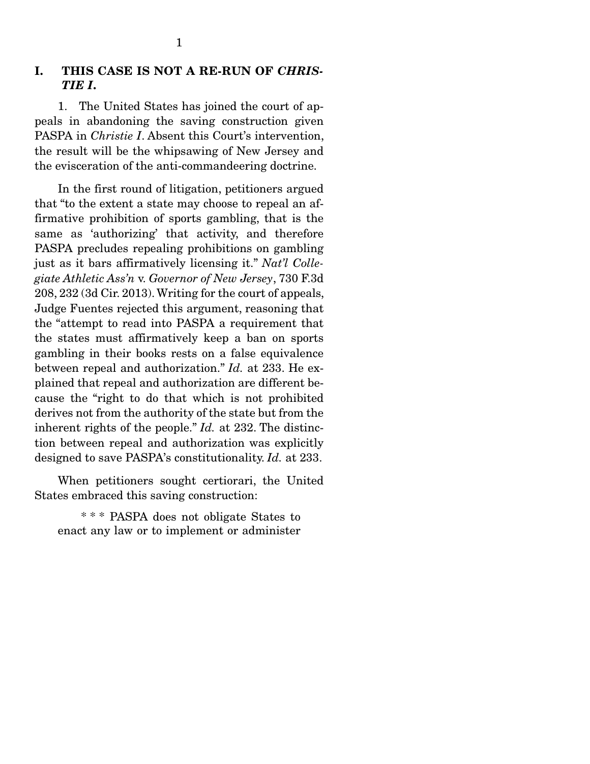### I. THIS CASE IS NOT A RE-RUN OF *CHRIS-TIE I*.

 1. The United States has joined the court of appeals in abandoning the saving construction given PASPA in *Christie I*. Absent this Court's intervention, the result will be the whipsawing of New Jersey and the evisceration of the anti-commandeering doctrine.

 In the first round of litigation, petitioners argued that "to the extent a state may choose to repeal an affirmative prohibition of sports gambling, that is the same as 'authorizing' that activity, and therefore PASPA precludes repealing prohibitions on gambling just as it bars affirmatively licensing it." *Nat'l Collegiate Athletic Ass'n* v. *Governor of New Jersey*, 730 F.3d 208, 232 (3d Cir. 2013). Writing for the court of appeals, Judge Fuentes rejected this argument, reasoning that the "attempt to read into PASPA a requirement that the states must affirmatively keep a ban on sports gambling in their books rests on a false equivalence between repeal and authorization." *Id.* at 233. He explained that repeal and authorization are different because the "right to do that which is not prohibited derives not from the authority of the state but from the inherent rights of the people." *Id.* at 232. The distinction between repeal and authorization was explicitly designed to save PASPA's constitutionality. *Id.* at 233.

 When petitioners sought certiorari, the United States embraced this saving construction:

 \* \* \* PASPA does not obligate States to enact any law or to implement or administer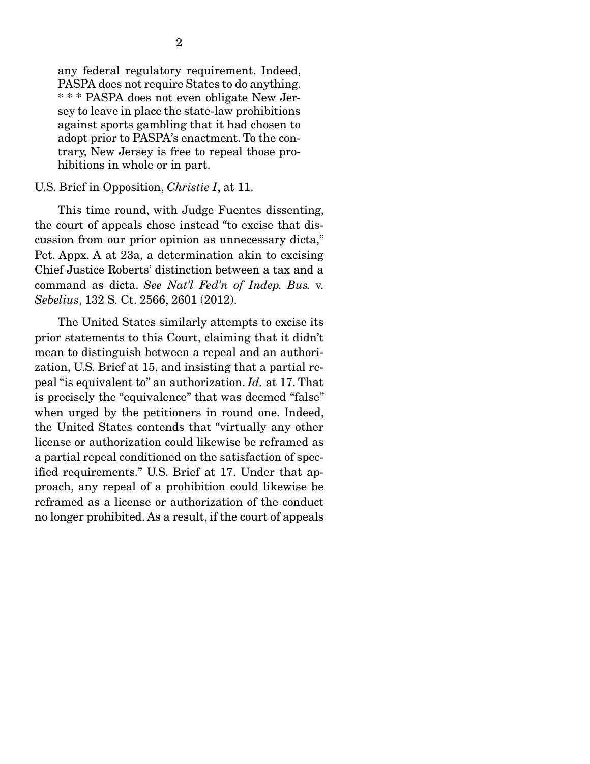any federal regulatory requirement. Indeed, PASPA does not require States to do anything. \* \* \* PASPA does not even obligate New Jersey to leave in place the state-law prohibitions against sports gambling that it had chosen to adopt prior to PASPA's enactment. To the contrary, New Jersey is free to repeal those prohibitions in whole or in part.

#### U.S. Brief in Opposition, *Christie I*, at 11.

 This time round, with Judge Fuentes dissenting, the court of appeals chose instead "to excise that discussion from our prior opinion as unnecessary dicta," Pet. Appx. A at 23a, a determination akin to excising Chief Justice Roberts' distinction between a tax and a command as dicta. *See Nat'l Fed'n of Indep. Bus.* v. *Sebelius*, 132 S. Ct. 2566, 2601 (2012).

 The United States similarly attempts to excise its prior statements to this Court, claiming that it didn't mean to distinguish between a repeal and an authorization, U.S. Brief at 15, and insisting that a partial repeal "is equivalent to" an authorization. *Id.* at 17. That is precisely the "equivalence" that was deemed "false" when urged by the petitioners in round one. Indeed, the United States contends that "virtually any other license or authorization could likewise be reframed as a partial repeal conditioned on the satisfaction of specified requirements." U.S. Brief at 17. Under that approach, any repeal of a prohibition could likewise be reframed as a license or authorization of the conduct no longer prohibited. As a result, if the court of appeals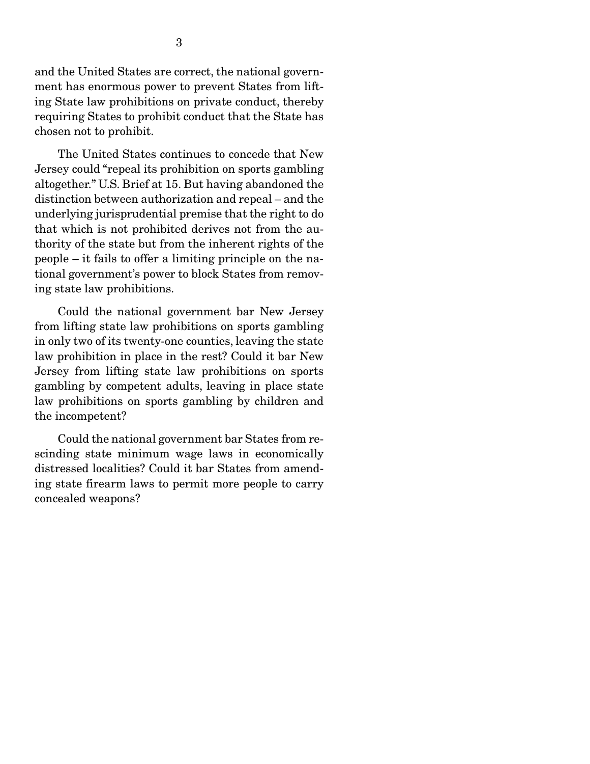and the United States are correct, the national government has enormous power to prevent States from lifting State law prohibitions on private conduct, thereby requiring States to prohibit conduct that the State has chosen not to prohibit.

 The United States continues to concede that New Jersey could "repeal its prohibition on sports gambling altogether." U.S. Brief at 15. But having abandoned the distinction between authorization and repeal – and the underlying jurisprudential premise that the right to do that which is not prohibited derives not from the authority of the state but from the inherent rights of the people – it fails to offer a limiting principle on the national government's power to block States from removing state law prohibitions.

 Could the national government bar New Jersey from lifting state law prohibitions on sports gambling in only two of its twenty-one counties, leaving the state law prohibition in place in the rest? Could it bar New Jersey from lifting state law prohibitions on sports gambling by competent adults, leaving in place state law prohibitions on sports gambling by children and the incompetent?

 Could the national government bar States from rescinding state minimum wage laws in economically distressed localities? Could it bar States from amending state firearm laws to permit more people to carry concealed weapons?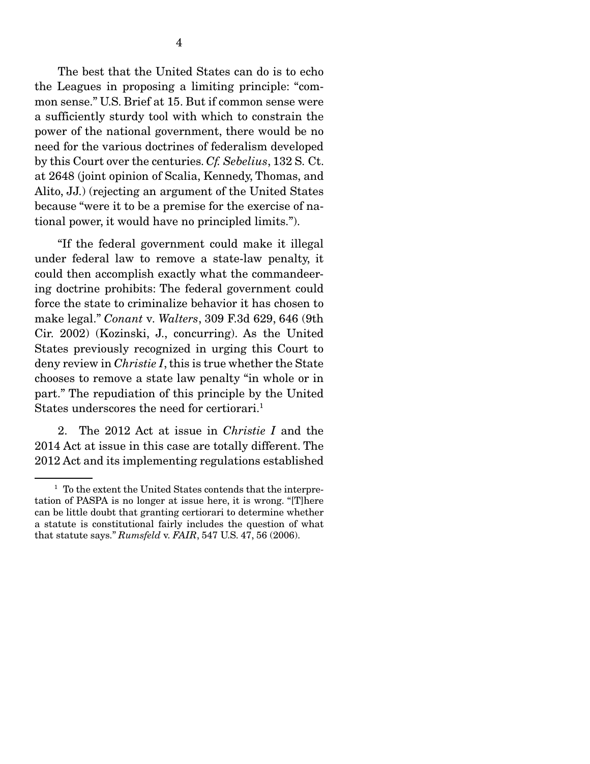need for the various doctrines of federalism developed by this Court over the centuries. *Cf. Sebelius*, 132 S. Ct. at 2648 (joint opinion of Scalia, Kennedy, Thomas, and Alito, JJ.) (rejecting an argument of the United States because "were it to be a premise for the exercise of national power, it would have no principled limits.").

 "If the federal government could make it illegal under federal law to remove a state-law penalty, it could then accomplish exactly what the commandeering doctrine prohibits: The federal government could force the state to criminalize behavior it has chosen to make legal." *Conant* v*. Walters*, 309 F.3d 629, 646 (9th Cir. 2002) (Kozinski, J., concurring). As the United States previously recognized in urging this Court to deny review in *Christie I*, this is true whether the State chooses to remove a state law penalty "in whole or in part." The repudiation of this principle by the United States underscores the need for certiorari.<sup>1</sup>

 2. The 2012 Act at issue in *Christie I* and the 2014 Act at issue in this case are totally different. The 2012 Act and its implementing regulations established

<sup>&</sup>lt;sup>1</sup> To the extent the United States contends that the interpretation of PASPA is no longer at issue here, it is wrong. "[T]here can be little doubt that granting certiorari to determine whether a statute is constitutional fairly includes the question of what that statute says." *Rumsfeld* v. *FAIR*, 547 U.S. 47, 56 (2006).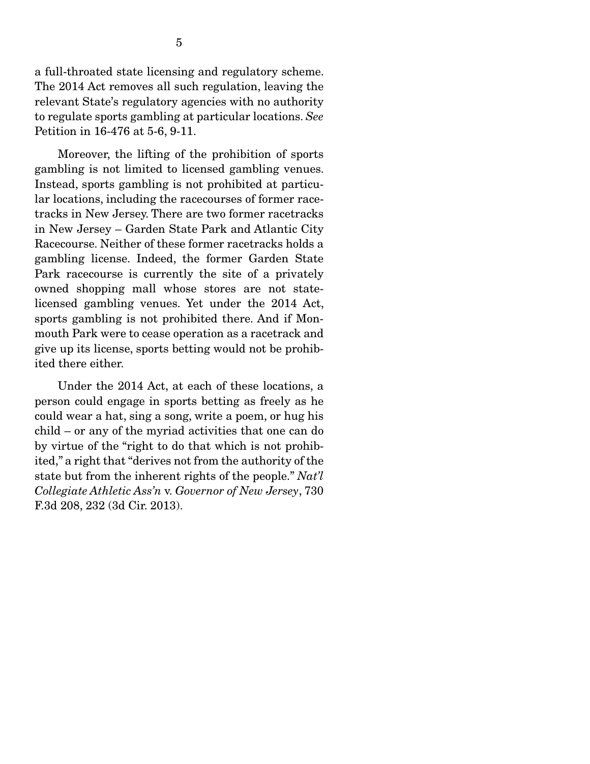a full-throated state licensing and regulatory scheme. The 2014 Act removes all such regulation, leaving the relevant State's regulatory agencies with no authority to regulate sports gambling at particular locations. *See* Petition in 16-476 at 5-6, 9-11.

 Moreover, the lifting of the prohibition of sports gambling is not limited to licensed gambling venues. Instead, sports gambling is not prohibited at particular locations, including the racecourses of former racetracks in New Jersey. There are two former racetracks in New Jersey – Garden State Park and Atlantic City Racecourse. Neither of these former racetracks holds a gambling license. Indeed, the former Garden State Park racecourse is currently the site of a privately owned shopping mall whose stores are not statelicensed gambling venues. Yet under the 2014 Act, sports gambling is not prohibited there. And if Monmouth Park were to cease operation as a racetrack and give up its license, sports betting would not be prohibited there either.

 Under the 2014 Act, at each of these locations, a person could engage in sports betting as freely as he could wear a hat, sing a song, write a poem, or hug his child – or any of the myriad activities that one can do by virtue of the "right to do that which is not prohibited," a right that "derives not from the authority of the state but from the inherent rights of the people." *Nat'l Collegiate Athletic Ass'n* v. *Governor of New Jersey*, 730 F.3d 208, 232 (3d Cir. 2013).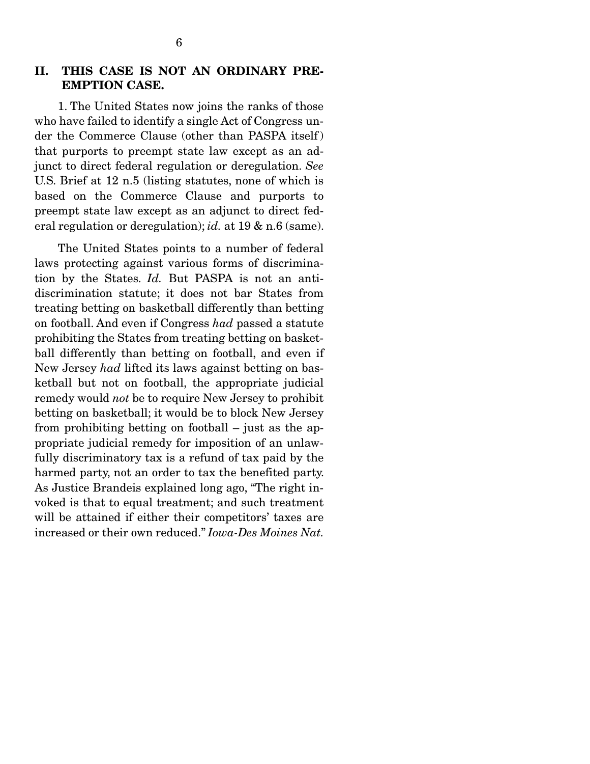### II. THIS CASE IS NOT AN ORDINARY PRE-EMPTION CASE.

 1. The United States now joins the ranks of those who have failed to identify a single Act of Congress under the Commerce Clause (other than PASPA itself ) that purports to preempt state law except as an adjunct to direct federal regulation or deregulation. *See* U.S. Brief at 12 n.5 (listing statutes, none of which is based on the Commerce Clause and purports to preempt state law except as an adjunct to direct federal regulation or deregulation); *id.* at 19 & n.6 (same).

 The United States points to a number of federal laws protecting against various forms of discrimination by the States. *Id.* But PASPA is not an antidiscrimination statute; it does not bar States from treating betting on basketball differently than betting on football. And even if Congress *had* passed a statute prohibiting the States from treating betting on basketball differently than betting on football, and even if New Jersey *had* lifted its laws against betting on basketball but not on football, the appropriate judicial remedy would *not* be to require New Jersey to prohibit betting on basketball; it would be to block New Jersey from prohibiting betting on football – just as the appropriate judicial remedy for imposition of an unlawfully discriminatory tax is a refund of tax paid by the harmed party, not an order to tax the benefited party. As Justice Brandeis explained long ago, "The right invoked is that to equal treatment; and such treatment will be attained if either their competitors' taxes are increased or their own reduced." *Iowa-Des Moines Nat.*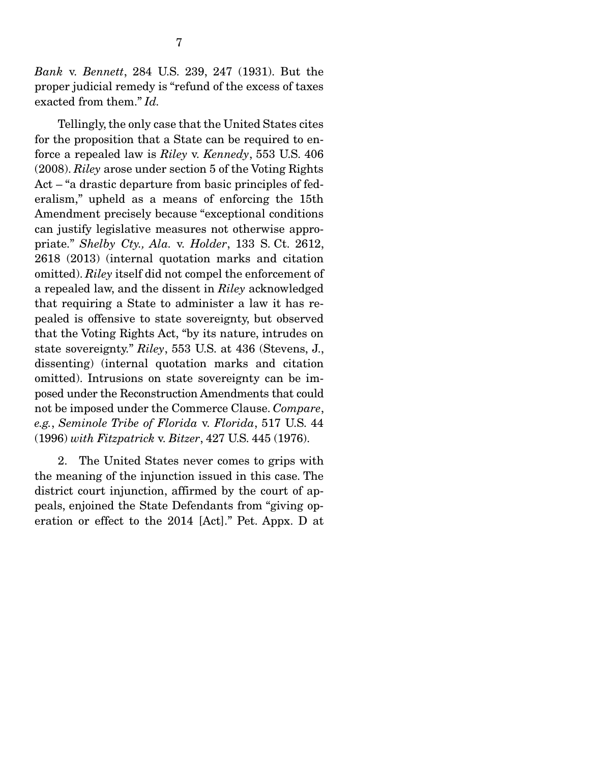*Bank* v. *Bennett*, 284 U.S. 239, 247 (1931). But the proper judicial remedy is "refund of the excess of taxes exacted from them." *Id.*

 Tellingly, the only case that the United States cites for the proposition that a State can be required to enforce a repealed law is *Riley* v. *Kennedy*, 553 U.S. 406 (2008). *Riley* arose under section 5 of the Voting Rights Act – "a drastic departure from basic principles of federalism," upheld as a means of enforcing the 15th Amendment precisely because "exceptional conditions can justify legislative measures not otherwise appropriate." *Shelby Cty., Ala.* v. *Holder*, 133 S. Ct. 2612, 2618 (2013) (internal quotation marks and citation omitted). *Riley* itself did not compel the enforcement of a repealed law, and the dissent in *Riley* acknowledged that requiring a State to administer a law it has repealed is offensive to state sovereignty, but observed that the Voting Rights Act, "by its nature, intrudes on state sovereignty." *Riley*, 553 U.S. at 436 (Stevens, J., dissenting) (internal quotation marks and citation omitted). Intrusions on state sovereignty can be imposed under the Reconstruction Amendments that could not be imposed under the Commerce Clause. *Compare*, *e.g.*, *Seminole Tribe of Florida* v. *Florida*, 517 U.S. 44 (1996) *with Fitzpatrick* v. *Bitzer*, 427 U.S. 445 (1976).

 2. The United States never comes to grips with the meaning of the injunction issued in this case. The district court injunction, affirmed by the court of appeals, enjoined the State Defendants from "giving operation or effect to the 2014 [Act]." Pet. Appx. D at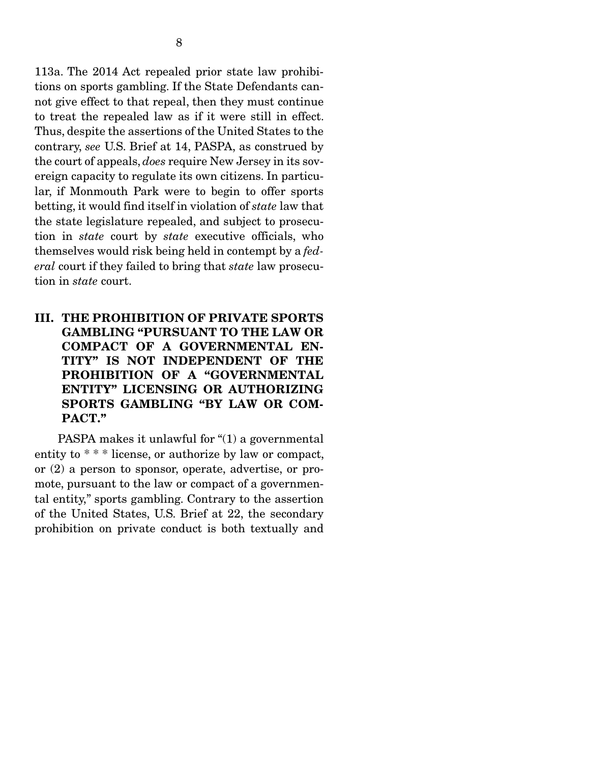113a. The 2014 Act repealed prior state law prohibitions on sports gambling. If the State Defendants cannot give effect to that repeal, then they must continue to treat the repealed law as if it were still in effect. Thus, despite the assertions of the United States to the contrary, *see* U.S. Brief at 14, PASPA, as construed by the court of appeals, *does* require New Jersey in its sovereign capacity to regulate its own citizens. In particular, if Monmouth Park were to begin to offer sports betting, it would find itself in violation of *state* law that the state legislature repealed, and subject to prosecution in *state* court by *state* executive officials, who themselves would risk being held in contempt by a *federal* court if they failed to bring that *state* law prosecution in *state* court.

III. THE PROHIBITION OF PRIVATE SPORTS GAMBLING "PURSUANT TO THE LAW OR COMPACT OF A GOVERNMENTAL EN-TITY" IS NOT INDEPENDENT OF THE PROHIBITION OF A "GOVERNMENTAL ENTITY" LICENSING OR AUTHORIZING SPORTS GAMBLING "BY LAW OR COM-PACT."

 PASPA makes it unlawful for "(1) a governmental entity to \* \* \* license, or authorize by law or compact, or (2) a person to sponsor, operate, advertise, or promote, pursuant to the law or compact of a governmental entity," sports gambling. Contrary to the assertion of the United States, U.S. Brief at 22, the secondary prohibition on private conduct is both textually and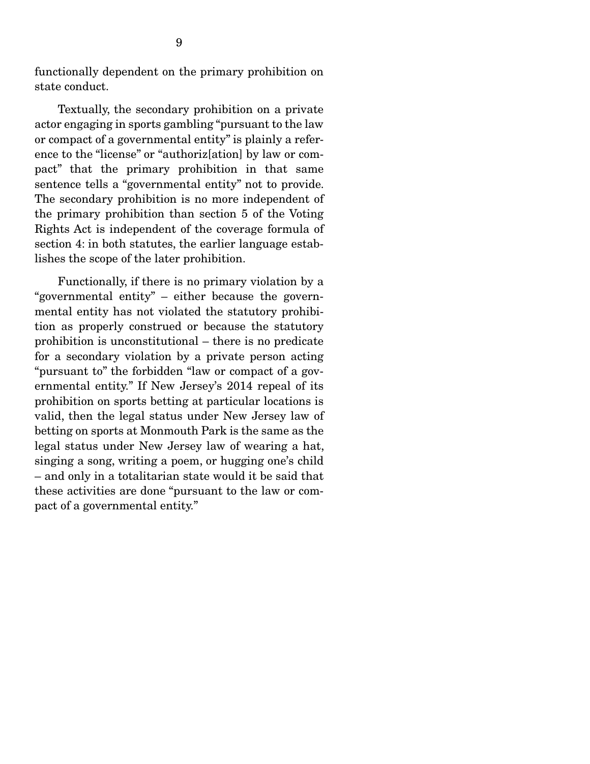functionally dependent on the primary prohibition on state conduct.

 Textually, the secondary prohibition on a private actor engaging in sports gambling "pursuant to the law or compact of a governmental entity" is plainly a reference to the "license" or "authoriz[ation] by law or compact" that the primary prohibition in that same sentence tells a "governmental entity" not to provide. The secondary prohibition is no more independent of the primary prohibition than section 5 of the Voting Rights Act is independent of the coverage formula of section 4: in both statutes, the earlier language establishes the scope of the later prohibition.

 Functionally, if there is no primary violation by a "governmental entity" – either because the governmental entity has not violated the statutory prohibition as properly construed or because the statutory prohibition is unconstitutional – there is no predicate for a secondary violation by a private person acting "pursuant to" the forbidden "law or compact of a governmental entity." If New Jersey's 2014 repeal of its prohibition on sports betting at particular locations is valid, then the legal status under New Jersey law of betting on sports at Monmouth Park is the same as the legal status under New Jersey law of wearing a hat, singing a song, writing a poem, or hugging one's child – and only in a totalitarian state would it be said that these activities are done "pursuant to the law or compact of a governmental entity."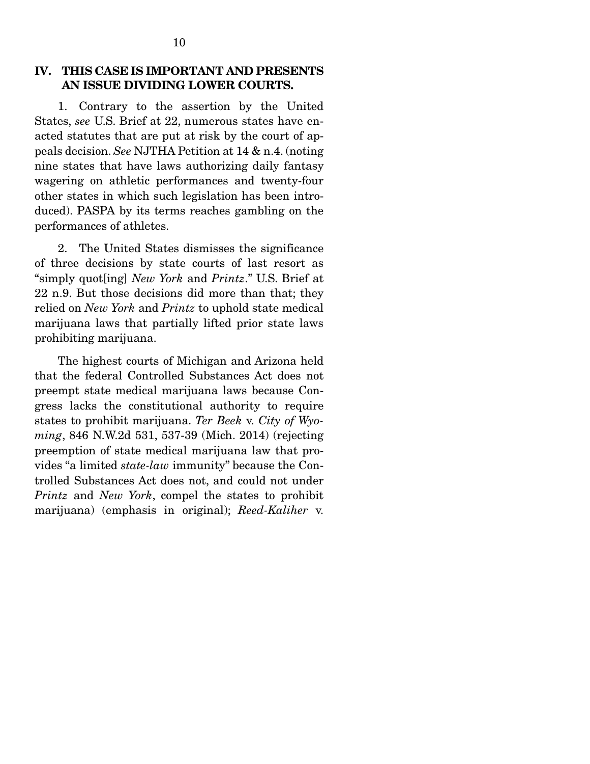### IV. THIS CASE IS IMPORTANT AND PRESENTS AN ISSUE DIVIDING LOWER COURTS.

 1. Contrary to the assertion by the United States, *see* U.S. Brief at 22, numerous states have enacted statutes that are put at risk by the court of appeals decision. *See* NJTHA Petition at 14 & n.4. (noting nine states that have laws authorizing daily fantasy wagering on athletic performances and twenty-four other states in which such legislation has been introduced). PASPA by its terms reaches gambling on the performances of athletes.

 2. The United States dismisses the significance of three decisions by state courts of last resort as "simply quot[ing] *New York* and *Printz*." U.S. Brief at 22 n.9. But those decisions did more than that; they relied on *New York* and *Printz* to uphold state medical marijuana laws that partially lifted prior state laws prohibiting marijuana.

 The highest courts of Michigan and Arizona held that the federal Controlled Substances Act does not preempt state medical marijuana laws because Congress lacks the constitutional authority to require states to prohibit marijuana. *Ter Beek* v. *City of Wyoming*, 846 N.W.2d 531, 537-39 (Mich. 2014) (rejecting preemption of state medical marijuana law that provides "a limited *state-law* immunity" because the Controlled Substances Act does not, and could not under *Printz* and *New York*, compel the states to prohibit marijuana) (emphasis in original); *Reed-Kaliher* v.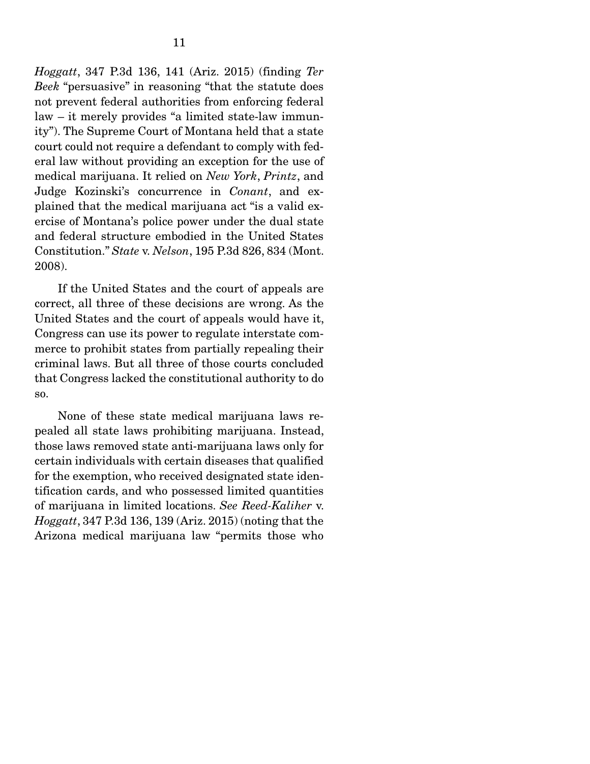*Hoggatt*, 347 P.3d 136, 141 (Ariz. 2015) (finding *Ter Beek* "persuasive" in reasoning "that the statute does not prevent federal authorities from enforcing federal law – it merely provides "a limited state-law immunity"). The Supreme Court of Montana held that a state court could not require a defendant to comply with federal law without providing an exception for the use of medical marijuana. It relied on *New York*, *Printz*, and Judge Kozinski's concurrence in *Conant*, and explained that the medical marijuana act "is a valid exercise of Montana's police power under the dual state and federal structure embodied in the United States Constitution." *State* v. *Nelson*, 195 P.3d 826, 834 (Mont. 2008).

 If the United States and the court of appeals are correct, all three of these decisions are wrong. As the United States and the court of appeals would have it, Congress can use its power to regulate interstate commerce to prohibit states from partially repealing their criminal laws. But all three of those courts concluded that Congress lacked the constitutional authority to do so.

 None of these state medical marijuana laws repealed all state laws prohibiting marijuana. Instead, those laws removed state anti-marijuana laws only for certain individuals with certain diseases that qualified for the exemption, who received designated state identification cards, and who possessed limited quantities of marijuana in limited locations. *See Reed-Kaliher* v. *Hoggatt*, 347 P.3d 136, 139 (Ariz. 2015) (noting that the Arizona medical marijuana law "permits those who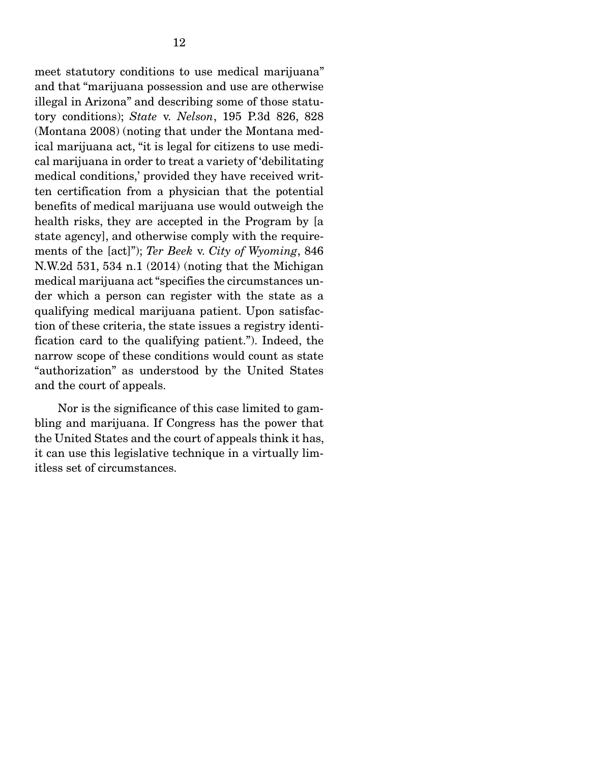meet statutory conditions to use medical marijuana" and that "marijuana possession and use are otherwise illegal in Arizona" and describing some of those statutory conditions); *State* v. *Nelson*, 195 P.3d 826, 828 (Montana 2008) (noting that under the Montana medical marijuana act, "it is legal for citizens to use medical marijuana in order to treat a variety of 'debilitating medical conditions,' provided they have received written certification from a physician that the potential benefits of medical marijuana use would outweigh the health risks, they are accepted in the Program by [a state agency], and otherwise comply with the requirements of the [act]"); *Ter Beek* v. *City of Wyoming*, 846 N.W.2d 531, 534 n.1 (2014) (noting that the Michigan medical marijuana act "specifies the circumstances under which a person can register with the state as a qualifying medical marijuana patient. Upon satisfaction of these criteria, the state issues a registry identification card to the qualifying patient."). Indeed, the narrow scope of these conditions would count as state "authorization" as understood by the United States and the court of appeals.

 Nor is the significance of this case limited to gambling and marijuana. If Congress has the power that the United States and the court of appeals think it has, it can use this legislative technique in a virtually limitless set of circumstances.